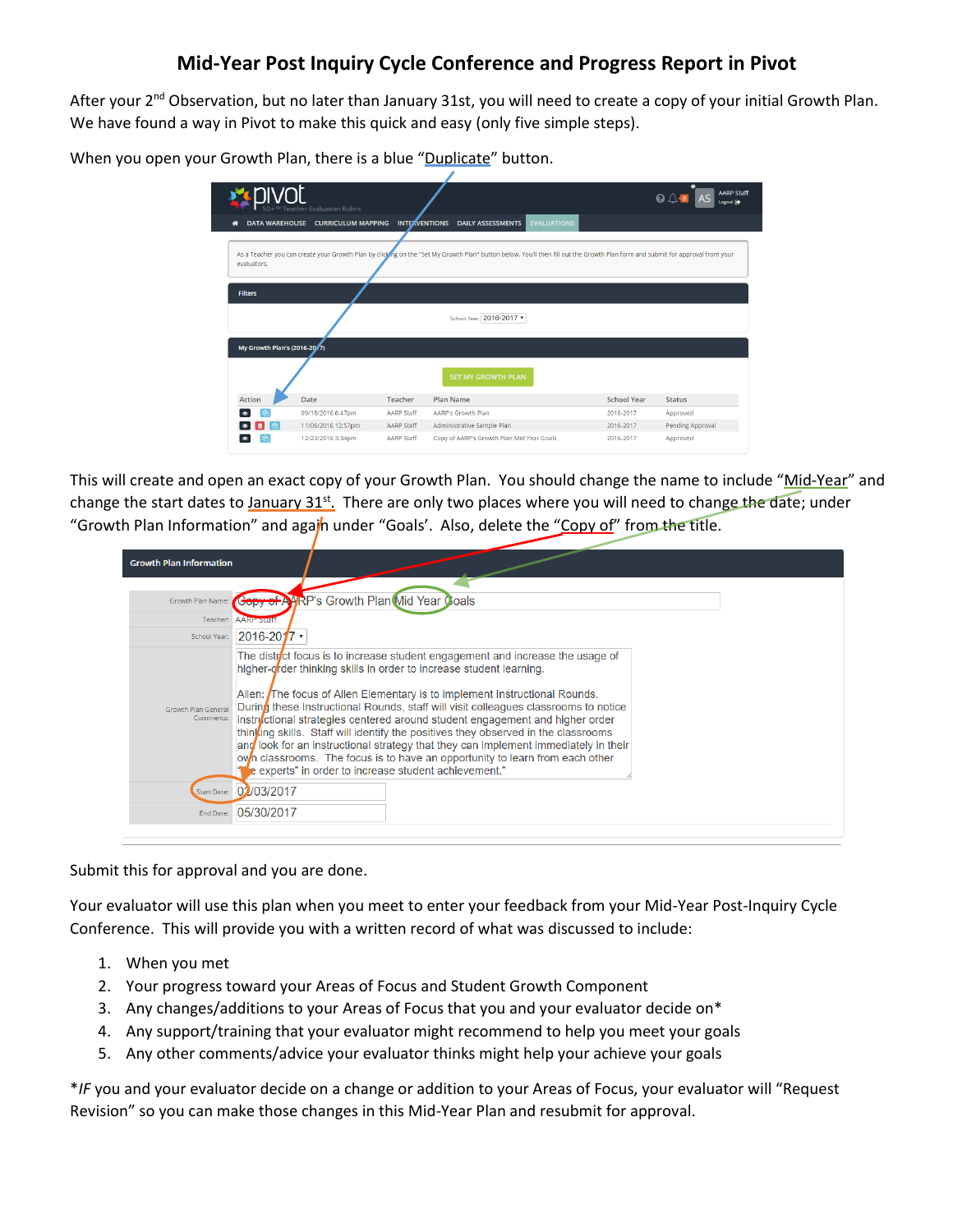## **Mid-Year Post Inquiry Cycle Conference and Progress Report in Pivot**

After your 2<sup>nd</sup> Observation, but no later than January 31st, you will need to create a copy of your initial Growth Plan. We have found a way in Pivot to make this quick and easy (only five simple steps).

When you open your Growth Plan, there is a blue "Duplicate" button.

|                              | <b>Teacher Evaluation Rubric</b> |                      |                                                                                                                                                                                |                    | <b>AARP Staff</b><br>ଵ<br>Logout <sup>[]</sup> |
|------------------------------|----------------------------------|----------------------|--------------------------------------------------------------------------------------------------------------------------------------------------------------------------------|--------------------|------------------------------------------------|
| <b>DATA WAREHOUSE</b>        | <b>CURRICULUM MAPPING</b>        | <b>INTERVENTIONS</b> | <b>EVALUATIONS</b><br><b>DAILY ASSESSMENTS</b>                                                                                                                                 |                    |                                                |
| evaluators.                  |                                  |                      | As a Teacher you can create your Growth Plan by clicking on the "Set My Growth Plan" button below. You'll then fill out the Growth Plan form and submit for approval from your |                    |                                                |
| <b>Filters</b>               |                                  |                      | School Year: 2016-2017                                                                                                                                                         |                    |                                                |
| My Growth Plan's (2016-2017) |                                  |                      |                                                                                                                                                                                |                    |                                                |
|                              |                                  |                      | <b>SET MY GROWTH PLAN</b>                                                                                                                                                      |                    |                                                |
| <b>Action</b>                | <b>Date</b>                      | Teacher              | <b>Plan Name</b>                                                                                                                                                               | <b>School Year</b> | <b>Status</b>                                  |
| ውነ                           | 09/18/2016 6:47pm                | AARP Staff           | AARP's Growth Plan                                                                                                                                                             | 2016-2017          | Approved                                       |
| <b>Oh</b>                    | 11/06/2016 12:57pm               | AARP Staff           | Administrative Sample Plan                                                                                                                                                     | 2016-2017          | <b>Pending Approval</b>                        |
| ረካ                           | 12/23/2016 3:34pm                | <b>AARP Staff</b>    | Copy of AARP's Growth Plan Mid Year Goals                                                                                                                                      | 2016-2017          | Approved                                       |

This will create and open an exact copy of your Growth Plan. You should change the name to include "Mid-Year" and change the start dates to January 31<sup>st</sup>. There are only two places where you will need to change the date; under "Growth Plan Information" and again under "Goals'. Also, delete the "Copy of" from the title.

| <b>Growth Plan Information</b>          |                                                                                                                                                                                                                                                                                                                                                                                                                                                                                                                                                                                                                                                                                                                                       |
|-----------------------------------------|---------------------------------------------------------------------------------------------------------------------------------------------------------------------------------------------------------------------------------------------------------------------------------------------------------------------------------------------------------------------------------------------------------------------------------------------------------------------------------------------------------------------------------------------------------------------------------------------------------------------------------------------------------------------------------------------------------------------------------------|
| Growth Plan Name:                       | <b>Geby of AARP's Growth Plan Mid Year Coals</b>                                                                                                                                                                                                                                                                                                                                                                                                                                                                                                                                                                                                                                                                                      |
| Teacher:                                | <b>AARP Staff</b>                                                                                                                                                                                                                                                                                                                                                                                                                                                                                                                                                                                                                                                                                                                     |
| School Year:                            | $ 2016 - 2017 $                                                                                                                                                                                                                                                                                                                                                                                                                                                                                                                                                                                                                                                                                                                       |
| <b>Growth Plan General</b><br>Comments: | The district focus is to increase student engagement and increase the usage of<br>higher-order thinking skills in order to increase student learning.<br>Allen: The focus of Allen Elementary is to implement Instructional Rounds.<br>During these Instructional Rounds, staff will visit colleagues classrooms to notice<br>instryctional strategies centered around student engagement and higher order<br>thinking skills. Staff will identify the positives they observed in the classrooms<br>$\alpha$ look for an instructional strategy that they can implement immediately in their<br>own classrooms. The focus is to have an opportunity to learn from each other<br>e experts" in order to increase student achievement." |
|                                         | Start Date: 02/03/2017                                                                                                                                                                                                                                                                                                                                                                                                                                                                                                                                                                                                                                                                                                                |
| End Date:                               | 05/30/2017                                                                                                                                                                                                                                                                                                                                                                                                                                                                                                                                                                                                                                                                                                                            |

Submit this for approval and you are done.

Your evaluator will use this plan when you meet to enter your feedback from your Mid-Year Post-Inquiry Cycle Conference. This will provide you with a written record of what was discussed to include:

- 1. When you met
- 2. Your progress toward your Areas of Focus and Student Growth Component
- 3. Any changes/additions to your Areas of Focus that you and your evaluator decide on\*
- 4. Any support/training that your evaluator might recommend to help you meet your goals
- 5. Any other comments/advice your evaluator thinks might help your achieve your goals

\**IF* you and your evaluator decide on a change or addition to your Areas of Focus, your evaluator will "Request Revision" so you can make those changes in this Mid-Year Plan and resubmit for approval.